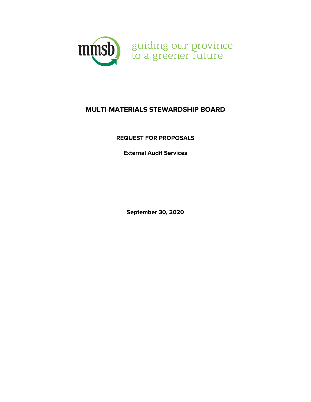

# **MULTI-MATERIALS STEWARDSHIP BOARD**

## **REQUEST FOR PROPOSALS**

**External Audit Services**

**September 30, 2020**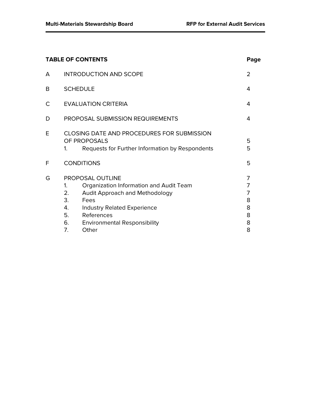|   | <b>TABLE OF CONTENTS</b>                                                                                                                                                                                                             |                                 |  |
|---|--------------------------------------------------------------------------------------------------------------------------------------------------------------------------------------------------------------------------------------|---------------------------------|--|
| A | <b>INTRODUCTION AND SCOPE</b>                                                                                                                                                                                                        | 2                               |  |
| B | <b>SCHEDULE</b>                                                                                                                                                                                                                      | 4                               |  |
| C | <b>EVALUATION CRITERIA</b>                                                                                                                                                                                                           | 4                               |  |
| D | PROPOSAL SUBMISSION REQUIREMENTS                                                                                                                                                                                                     | 4                               |  |
| E | <b>CLOSING DATE AND PROCEDURES FOR SUBMISSION</b><br>OF PROPOSALS<br>Requests for Further Information by Respondents<br>1.                                                                                                           | 5<br>5                          |  |
| F | <b>CONDITIONS</b>                                                                                                                                                                                                                    | 5                               |  |
| G | PROPOSAL OUTLINE<br>Organization Information and Audit Team<br>1.<br>2.<br>Audit Approach and Methodology<br>3.<br>Fees<br>4.<br><b>Industry Related Experience</b><br>5.<br>References<br>6.<br><b>Environmental Responsibility</b> | 7<br>7<br>7<br>8<br>8<br>8<br>8 |  |
|   | 7.<br>Other                                                                                                                                                                                                                          | 8                               |  |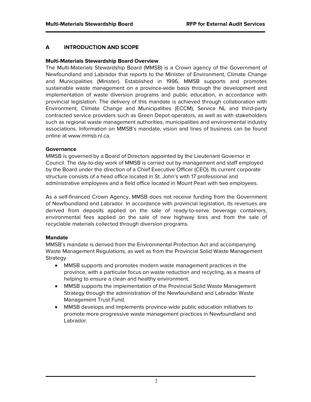## **A INTRODUCTION AND SCOPE**

### **Multi-Materials Stewardship Board Overview**

The Multi-Materials Stewardship Board (MMSB) is a Crown agency of the Government of Newfoundland and Labrador that reports to the Minister of Environment, Climate Change and Municipalities (Minister). Established in 1996, MMSB supports and promotes sustainable waste management on a province-wide basis through the development and implementation of waste diversion programs and public education, in accordance with provincial legislation. The delivery of this mandate is achieved through collaboration with Environment, Climate Change and Municipalities (ECCM), Service NL and third-party contracted service providers such as Green Depot operators, as well as with stakeholders such as regional waste management authorities, municipalities and environmental industry associations. Information on MMSB's mandate, vision and lines of business can be found online at www.mmsb.nl.ca.

### **Governance**

MMSB is governed by a Board of Directors appointed by the Lieutenant Governor in Council. The day-to-day work of MMSB is carried out by management and staff employed by the Board under the direction of a Chief Executive Officer (CEO). Its current corporate structure consists of a head office located in St. John's with 17 professional and administrative employees and a field office located in Mount Pearl with two employees.

As a self-financed Crown Agency, MMSB does not receive funding from the Government of Newfoundland and Labrador. In accordance with provincial legislation, its revenues are derived from deposits applied on the sale of ready-to-serve beverage containers, environmental fees applied on the sale of new highway tires and from the sale of recyclable materials collected through diversion programs.

## **Mandate**

MMSB's mandate is derived from the Environmental Protection Act and accompanying Waste Management Regulations, as well as from the Provincial Solid Waste Management Strategy.

- MMSB supports and promotes modern waste management practices in the province, with a particular focus on waste reduction and recycling, as a means of helping to ensure a clean and healthy environment.
- MMSB supports the implementation of the Provincial Solid Waste Management Strategy through the administration of the Newfoundland and Labrador Waste Management Trust Fund.
- MMSB develops and implements province-wide public education initiatives to promote more progressive waste management practices in Newfoundland and Labrador.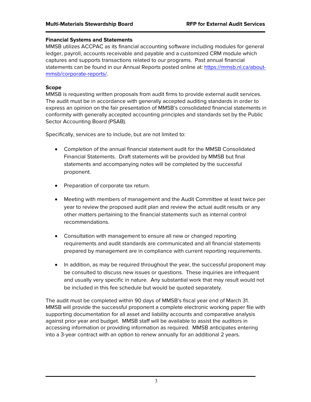### **Financial Systems and Statements**

MMSB utilizes ACCPAC as its financial accounting software including modules for general ledger, payroll, accounts receivable and payable and a customized CRM module which captures and supports transactions related to our programs. Past annual financial statements can be found in our Annual Reports posted online at: [https://mmsb.nl.ca/about](https://mmsb.nl.ca/about-mmsb/corporate-reports/)[mmsb/corporate-reports/.](https://mmsb.nl.ca/about-mmsb/corporate-reports/)

### **Scope**

MMSB is requesting written proposals from audit firms to provide external audit services. The audit must be in accordance with generally accepted auditing standards in order to express an opinion on the fair presentation of MMSB's consolidated financial statements in conformity with generally accepted accounting principles and standards set by the Public Sector Accounting Board (PSAB).

Specifically, services are to include, but are not limited to:

- Completion of the annual financial statement audit for the MMSB Consolidated Financial Statements. Draft statements will be provided by MMSB but final statements and accompanying notes will be completed by the successful proponent.
- Preparation of corporate tax return.
- Meeting with members of management and the Audit Committee at least twice per year to review the proposed audit plan and review the actual audit results or any other matters pertaining to the financial statements such as internal control recommendations.
- Consultation with management to ensure all new or changed reporting requirements and audit standards are communicated and all financial statements prepared by management are in compliance with current reporting requirements.
- In addition, as may be required throughout the year, the successful proponent may be consulted to discuss new issues or questions. These inquiries are infrequent and usually very specific in nature. Any substantial work that may result would not be included in this fee schedule but would be quoted separately.

The audit must be completed within 90 days of MMSB's fiscal year end of March 31. MMSB will provide the successful proponent a complete electronic working paper file with supporting documentation for all asset and liability accounts and comparative analysis against prior year and budget. MMSB staff will be available to assist the auditors in accessing information or providing information as required. MMSB anticipates entering into a 3-year contract with an option to renew annually for an additional 2 years.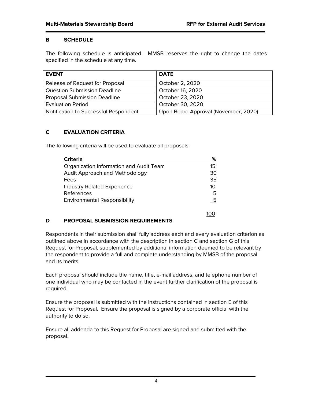## **B SCHEDULE**

The following schedule is anticipated. MMSB reserves the right to change the dates specified in the schedule at any time.

| <b>EVENT</b>                          | <b>DATE</b>                          |
|---------------------------------------|--------------------------------------|
| Release of Request for Proposal       | October 2, 2020                      |
| <b>Question Submission Deadline</b>   | October 16, 2020                     |
| <b>Proposal Submission Deadline</b>   | October 23, 2020                     |
| Evaluation Period                     | October 30, 2020                     |
| Notification to Successful Respondent | Upon Board Approval (November, 2020) |

## **C EVALUATION CRITERIA**

The following criteria will be used to evaluate all proposals:

| <b>Criteria</b>                         | %  |
|-----------------------------------------|----|
| Organization Information and Audit Team | 15 |
| Audit Approach and Methodology          | 30 |
| Fees                                    | 35 |
| <b>Industry Related Experience</b>      | 10 |
| References                              | 5  |
| Environmental Responsibility            | 5  |
|                                         |    |

## **D PROPOSAL SUBMISSION REQUIREMENTS**

Respondents in their submission shall fully address each and every evaluation criterion as outlined above in accordance with the description in section C and section G of this Request for Proposal, supplemented by additional information deemed to be relevant by the respondent to provide a full and complete understanding by MMSB of the proposal and its merits.

Each proposal should include the name, title, e-mail address, and telephone number of one individual who may be contacted in the event further clarification of the proposal is required.

Ensure the proposal is submitted with the instructions contained in section E of this Request for Proposal. Ensure the proposal is signed by a corporate official with the authority to do so.

Ensure all addenda to this Request for Proposal are signed and submitted with the proposal.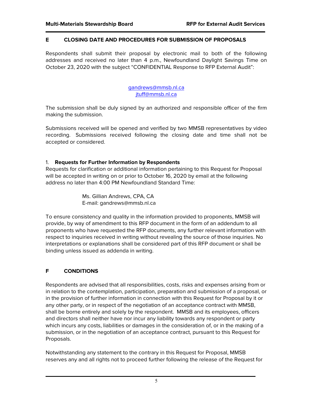### **E CLOSING DATE AND PROCEDURES FOR SUBMISSION OF PROPOSALS**

Respondents shall submit their proposal by electronic mail to both of the following addresses and received no later than 4 p.m., Newfoundland Daylight Savings Time on October 23, 2020 with the subject "CONFIDENTIAL Response to RFP External Audit":

### [gandrews@mmsb.nl.ca](mailto:gandrews@mmsb.nl.ca) [jtuff@mmsb.nl.ca](mailto:jtuff@mmsb.nl.ca)

The submission shall be duly signed by an authorized and responsible officer of the firm making the submission.

Submissions received will be opened and verified by two MMSB representatives by video recording. Submissions received following the closing date and time shall not be accepted or considered.

## 1. **Requests for Further Information by Respondents**

Requests for clarification or additional information pertaining to this Request for Proposal will be accepted in writing on or prior to October 16, 2020 by email at the following address no later than 4:00 PM Newfoundland Standard Time:

> Ms. Gillian Andrews, CPA, CA E-mail: gandrews@mmsb.nl.ca

To ensure consistency and quality in the information provided to proponents, MMSB will provide, by way of amendment to this RFP document in the form of an addendum to all proponents who have requested the RFP documents, any further relevant information with respect to inquiries received in writing without revealing the source of those inquiries. No interpretations or explanations shall be considered part of this RFP document or shall be binding unless issued as addenda in writing.

## **F CONDITIONS**

Respondents are advised that all responsibilities, costs, risks and expenses arising from or in relation to the contemplation, participation, preparation and submission of a proposal, or in the provision of further information in connection with this Request for Proposal by it or any other party, or in respect of the negotiation of an acceptance contract with MMSB, shall be borne entirely and solely by the respondent. MMSB and its employees, officers and directors shall neither have nor incur any liability towards any respondent or party which incurs any costs, liabilities or damages in the consideration of, or in the making of a submission, or in the negotiation of an acceptance contract, pursuant to this Request for Proposals.

Notwithstanding any statement to the contrary in this Request for Proposal, MMSB reserves any and all rights not to proceed further following the release of the Request for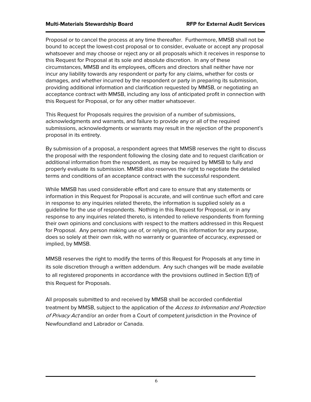Proposal or to cancel the process at any time thereafter. Furthermore, MMSB shall not be bound to accept the lowest-cost proposal or to consider, evaluate or accept any proposal whatsoever and may choose or reject any or all proposals which it receives in response to this Request for Proposal at its sole and absolute discretion. In any of these circumstances, MMSB and its employees, officers and directors shall neither have nor incur any liability towards any respondent or party for any claims, whether for costs or damages, and whether incurred by the respondent or party in preparing its submission, providing additional information and clarification requested by MMSB, or negotiating an acceptance contract with MMSB, including any loss of anticipated profit in connection with this Request for Proposal, or for any other matter whatsoever.

This Request for Proposals requires the provision of a number of submissions, acknowledgments and warrants, and failure to provide any or all of the required submissions, acknowledgments or warrants may result in the rejection of the proponent's proposal in its entirety.

By submission of a proposal, a respondent agrees that MMSB reserves the right to discuss the proposal with the respondent following the closing date and to request clarification or additional information from the respondent, as may be required by MMSB to fully and properly evaluate its submission. MMSB also reserves the right to negotiate the detailed terms and conditions of an acceptance contract with the successful respondent.

While MMSB has used considerable effort and care to ensure that any statements or information in this Request for Proposal is accurate, and will continue such effort and care in response to any inquiries related thereto, the information is supplied solely as a guideline for the use of respondents. Nothing in this Request for Proposal, or in any response to any inquiries related thereto, is intended to relieve respondents from forming their own opinions and conclusions with respect to the matters addressed in this Request for Proposal. Any person making use of, or relying on, this information for any purpose, does so solely at their own risk, with no warranty or guarantee of accuracy, expressed or implied, by MMSB.

MMSB reserves the right to modify the terms of this Request for Proposals at any time in its sole discretion through a written addendum. Any such changes will be made available to all registered proponents in accordance with the provisions outlined in Section E(1) of this Request for Proposals.

All proposals submitted to and received by MMSB shall be accorded confidential treatment by MMSB, subject to the application of the Access to Information and Protection of Privacy Act and/or an order from a Court of competent jurisdiction in the Province of Newfoundland and Labrador or Canada.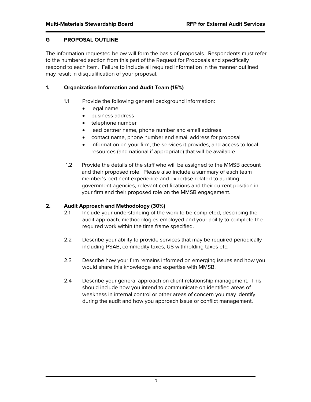### **G PROPOSAL OUTLINE**

The information requested below will form the basis of proposals. Respondents must refer to the numbered section from this part of the Request for Proposals and specifically respond to each item. Failure to include all required information in the manner outlined may result in disqualification of your proposal.

### **1. Organization Information and Audit Team (15%)**

- 1.1 Provide the following general background information:
	- legal name
	- business address
	- telephone number
	- lead partner name, phone number and email address
	- contact name, phone number and email address for proposal
	- information on your firm, the services it provides, and access to local resources (and national if appropriate) that will be available
- 1.2 Provide the details of the staff who will be assigned to the MMSB account and their proposed role. Please also include a summary of each team member's pertinent experience and expertise related to auditing government agencies, relevant certifications and their current position in your firm and their proposed role on the MMSB engagement.

### **2. Audit Approach and Methodology (30%)**

- 2.1 Include your understanding of the work to be completed, describing the audit approach, methodologies employed and your ability to complete the required work within the time frame specified.
- 2.2 Describe your ability to provide services that may be required periodically including PSAB, commodity taxes, US withholding taxes etc.
- 2.3 Describe how your firm remains informed on emerging issues and how you would share this knowledge and expertise with MMSB.
- 2.4 Describe your general approach on client relationship management. This should include how you intend to communicate on identified areas of weakness in internal control or other areas of concern you may identify during the audit and how you approach issue or conflict management.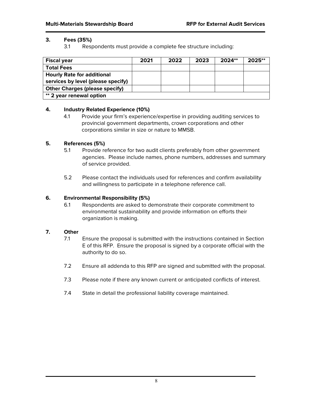## **3. Fees (35%)**

3.1 Respondents must provide a complete fee structure including:

| <b>Fiscal year</b>                    | 2021 | 2022 | 2023 | $2024**$ | 2025** |
|---------------------------------------|------|------|------|----------|--------|
| <b>Total Fees</b>                     |      |      |      |          |        |
| <b>Hourly Rate for additional</b>     |      |      |      |          |        |
| services by level (please specify)    |      |      |      |          |        |
| <b>Other Charges (please specify)</b> |      |      |      |          |        |
| ** 2 year renewal option              |      |      |      |          |        |

## **4. Industry Related Experience (10%)**

4.1 Provide your firm's experience/expertise in providing auditing services to provincial government departments, crown corporations and other corporations similar in size or nature to MMSB.

## **5. References (5%)**

- 5.1 Provide reference for two audit clients preferably from other government agencies. Please include names, phone numbers, addresses and summary of service provided.
- 5.2 Please contact the individuals used for references and confirm availability and willingness to participate in a telephone reference call.

## **6. Environmental Responsibility (5%)**

6.1 Respondents are asked to demonstrate their corporate commitment to environmental sustainability and provide information on efforts their organization is making.

### **7. Other**

- 7.1 Ensure the proposal is submitted with the instructions contained in Section E of this RFP. Ensure the proposal is signed by a corporate official with the authority to do so.
- 7.2 Ensure all addenda to this RFP are signed and submitted with the proposal.
- 7.3 Please note if there any known current or anticipated conflicts of interest.
- 7.4 State in detail the professional liability coverage maintained.